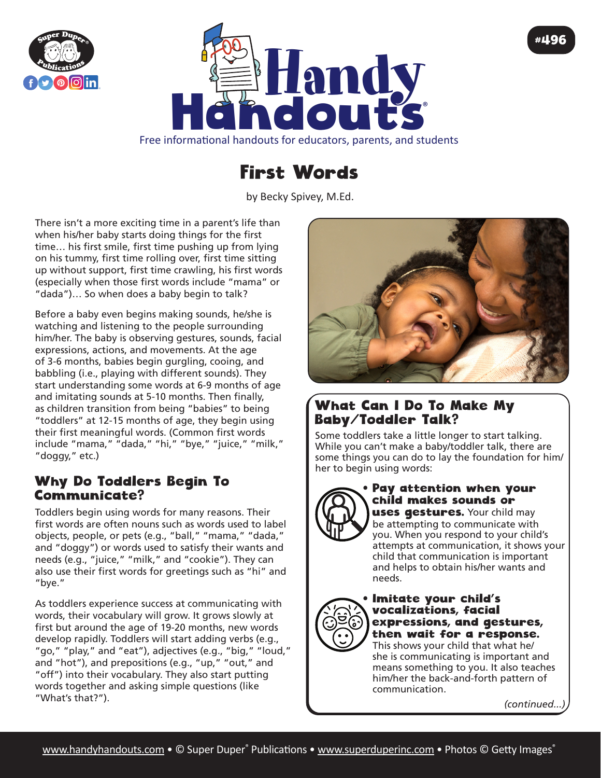



Free informational handouts for educators, parents, and students

# First Words

by Becky Spivey, [M.Ed.](http://M.Ed)

There isn't a more exciting time in a parent's life than when his/her baby starts doing things for the first time… his first smile, first time pushing up from lying on his tummy, first time rolling over, first time sitting up without support, first time crawling, his first words (especially when those first words include "mama" or "dada")… So when does a baby begin to talk?

Before a baby even begins making sounds, he/she is watching and listening to the people surrounding him/her. The baby is observing gestures, sounds, facial expressions, actions, and movements. At the age of 3-6 months, babies begin gurgling, cooing, and babbling (i.e., playing with different sounds). They start understanding some words at 6-9 months of age and imitating sounds at 5-10 months. Then finally, as children transition from being "babies" to being "toddlers" at 12-15 months of age, they begin using their first meaningful words. (Common first words include "mama," "dada," "hi," "bye," "juice," "milk," "doggy," etc.)

# Why Do Toddlers Begin To Communicate?

Toddlers begin using words for many reasons. Their first words are often nouns such as words used to label objects, people, or pets (e.g., "ball," "mama," "dada," and "doggy") or words used to satisfy their wants and needs (e.g., "juice," "milk," and "cookie"). They can also use their first words for greetings such as "hi" and "bye."

As toddlers experience success at communicating with words, their vocabulary will grow. It grows slowly at first but around the age of 19-20 months, new words develop rapidly. Toddlers will start adding verbs (e.g., "go," "play," and "eat"), adjectives (e.g., "big," "loud," and "hot"), and prepositions (e.g., "up," "out," and "off") into their vocabulary. They also start putting words together and asking simple questions (like "What's that?").



# What Can I Do To Make My Baby/Toddler Talk?

Some toddlers take a little longer to start talking. While you can't make a baby/toddler talk, there are some things you can do to lay the foundation for him/ her to begin using words:



## Pay attention when your child makes sounds or

uses gestures. Your child may be attempting to communicate with you. When you respond to your child's attempts at communication, it shows your child that communication is important and helps to obtain his/her wants and needs.



## • Imitate your child's vocalizations, facial expressions, and gestures, then wait for a response.

This shows your child that what he/ she is communicating is important and means something to you. It also teaches him/her the back-and-forth pattern of communication.

*(continued...)*

#496